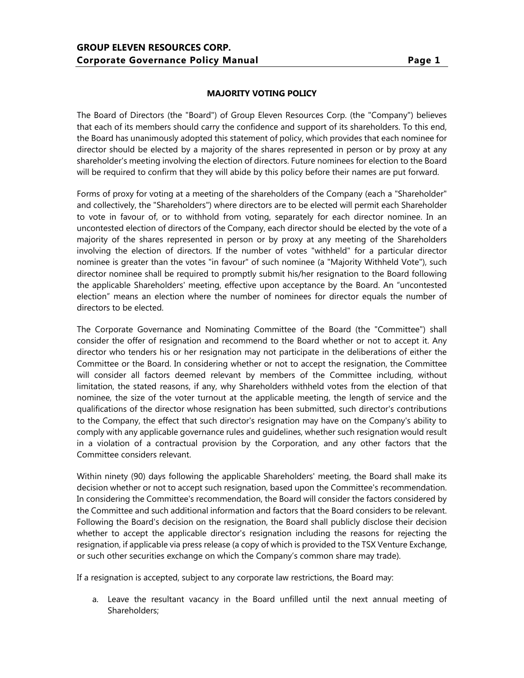## **MAJORITY VOTING POLICY**

The Board of Directors (the "Board") of Group Eleven Resources Corp. (the "Company") believes that each of its members should carry the confidence and support of its shareholders. To this end, the Board has unanimously adopted this statement of policy, which provides that each nominee for director should be elected by a majority of the shares represented in person or by proxy at any shareholder's meeting involving the election of directors. Future nominees for election to the Board will be required to confirm that they will abide by this policy before their names are put forward.

Forms of proxy for voting at a meeting of the shareholders of the Company (each a "Shareholder" and collectively, the "Shareholders") where directors are to be elected will permit each Shareholder to vote in favour of, or to withhold from voting, separately for each director nominee. In an uncontested election of directors of the Company, each director should be elected by the vote of a majority of the shares represented in person or by proxy at any meeting of the Shareholders involving the election of directors. If the number of votes "withheld" for a particular director nominee is greater than the votes "in favour" of such nominee (a "Majority Withheld Vote"), such director nominee shall be required to promptly submit his/her resignation to the Board following the applicable Shareholders' meeting, effective upon acceptance by the Board. An "uncontested election" means an election where the number of nominees for director equals the number of directors to be elected.

The Corporate Governance and Nominating Committee of the Board (the "Committee") shall consider the offer of resignation and recommend to the Board whether or not to accept it. Any director who tenders his or her resignation may not participate in the deliberations of either the Committee or the Board. In considering whether or not to accept the resignation, the Committee will consider all factors deemed relevant by members of the Committee including, without limitation, the stated reasons, if any, why Shareholders withheld votes from the election of that nominee, the size of the voter turnout at the applicable meeting, the length of service and the qualifications of the director whose resignation has been submitted, such director's contributions to the Company, the effect that such director's resignation may have on the Company's ability to comply with any applicable governance rules and guidelines, whether such resignation would result in a violation of a contractual provision by the Corporation, and any other factors that the Committee considers relevant.

Within ninety (90) days following the applicable Shareholders' meeting, the Board shall make its decision whether or not to accept such resignation, based upon the Committee's recommendation. In considering the Committee's recommendation, the Board will consider the factors considered by the Committee and such additional information and factors that the Board considers to be relevant. Following the Board's decision on the resignation, the Board shall publicly disclose their decision whether to accept the applicable director's resignation including the reasons for rejecting the resignation, if applicable via press release (a copy of which is provided to the TSX Venture Exchange, or such other securities exchange on which the Company's common share may trade).

If a resignation is accepted, subject to any corporate law restrictions, the Board may:

a. Leave the resultant vacancy in the Board unfilled until the next annual meeting of Shareholders;